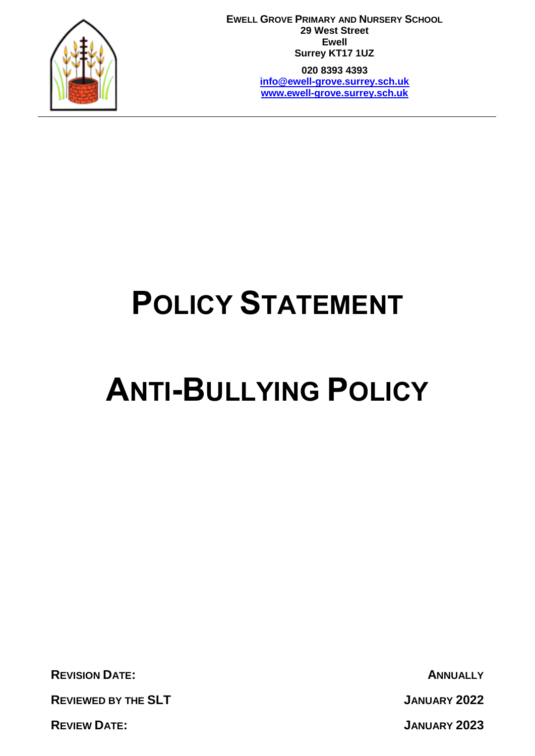

**EWELL GROVE PRIMARY AND NURSERY SCHOOL 29 West Street Ewell Surrey KT17 1UZ 020 8393 4393**

**[info@ewell-grove.surrey.sch.uk](mailto:info@ewell-grove.surrey.sch.uk) [www.ewell-grove.surrey.sch.uk](http://www.ewell-grove.surrey.sch.uk/)**

# **POLICY STATEMENT**

# **ANTI-BULLYING POLICY**

**REVISION DATE: ANNUALLY**

**REVIEWED BY THE SLT JANUARY 2022**

**REVIEW DATE: JANUARY 2023**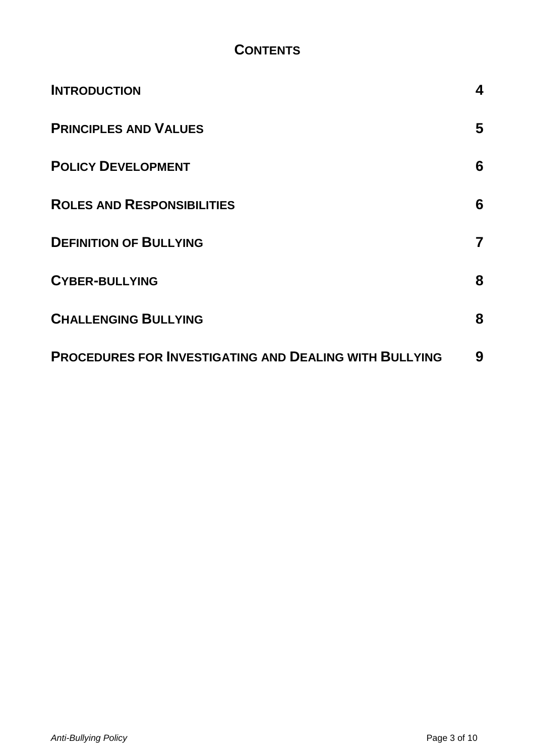# **CONTENTS**

| <b>INTRODUCTION</b>                                           | 4 |
|---------------------------------------------------------------|---|
| <b>PRINCIPLES AND VALUES</b>                                  | 5 |
| <b>POLICY DEVELOPMENT</b>                                     | 6 |
| <b>ROLES AND RESPONSIBILITIES</b>                             | 6 |
| <b>DEFINITION OF BULLYING</b>                                 | 7 |
| <b>CYBER-BULLYING</b>                                         | 8 |
| <b>CHALLENGING BULLYING</b>                                   | 8 |
| <b>PROCEDURES FOR INVESTIGATING AND DEALING WITH BULLYING</b> | 9 |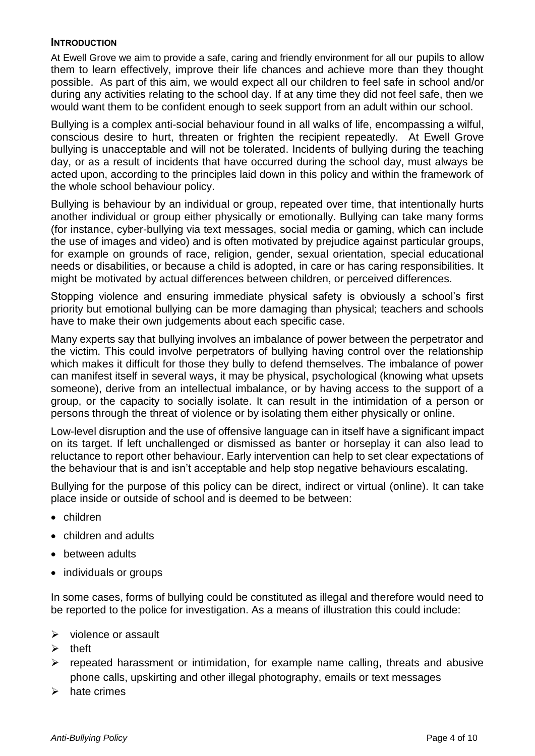#### <span id="page-3-0"></span>**INTRODUCTION**

At Ewell Grove we aim to provide a safe, caring and friendly environment for all our pupils to allow them to learn effectively, improve their life chances and achieve more than they thought possible. As part of this aim, we would expect all our children to feel safe in school and/or during any activities relating to the school day. If at any time they did not feel safe, then we would want them to be confident enough to seek support from an adult within our school.

Bullying is a complex anti-social behaviour found in all walks of life, encompassing a wilful, conscious desire to hurt, threaten or frighten the recipient repeatedly. At Ewell Grove bullying is unacceptable and will not be tolerated. Incidents of bullying during the teaching day, or as a result of incidents that have occurred during the school day, must always be acted upon, according to the principles laid down in this policy and within the framework of the whole school behaviour policy.

Bullying is behaviour by an individual or group, repeated over time, that intentionally hurts another individual or group either physically or emotionally. Bullying can take many forms (for instance, cyber-bullying via text messages, social media or gaming, which can include the use of images and video) and is often motivated by prejudice against particular groups, for example on grounds of race, religion, gender, sexual orientation, special educational needs or disabilities, or because a child is adopted, in care or has caring responsibilities. It might be motivated by actual differences between children, or perceived differences.

Stopping violence and ensuring immediate physical safety is obviously a school's first priority but emotional bullying can be more damaging than physical; teachers and schools have to make their own judgements about each specific case.

Many experts say that bullying involves an imbalance of power between the perpetrator and the victim. This could involve perpetrators of bullying having control over the relationship which makes it difficult for those they bully to defend themselves. The imbalance of power can manifest itself in several ways, it may be physical, psychological (knowing what upsets someone), derive from an intellectual imbalance, or by having access to the support of a group, or the capacity to socially isolate. It can result in the intimidation of a person or persons through the threat of violence or by isolating them either physically or online.

Low-level disruption and the use of offensive language can in itself have a significant impact on its target. If left unchallenged or dismissed as banter or horseplay it can also lead to reluctance to report other behaviour. Early intervention can help to set clear expectations of the behaviour that is and isn't acceptable and help stop negative behaviours escalating.

Bullying for the purpose of this policy can be direct, indirect or virtual (online). It can take place inside or outside of school and is deemed to be between:

- children
- children and adults
- between adults
- individuals or groups

In some cases, forms of bullying could be constituted as illegal and therefore would need to be reported to the police for investigation. As a means of illustration this could include:

- $\triangleright$  violence or assault
- $\triangleright$  theft
- $\triangleright$  repeated harassment or intimidation, for example name calling, threats and abusive phone calls, upskirting and other illegal photography, emails or text messages
- $\triangleright$  hate crimes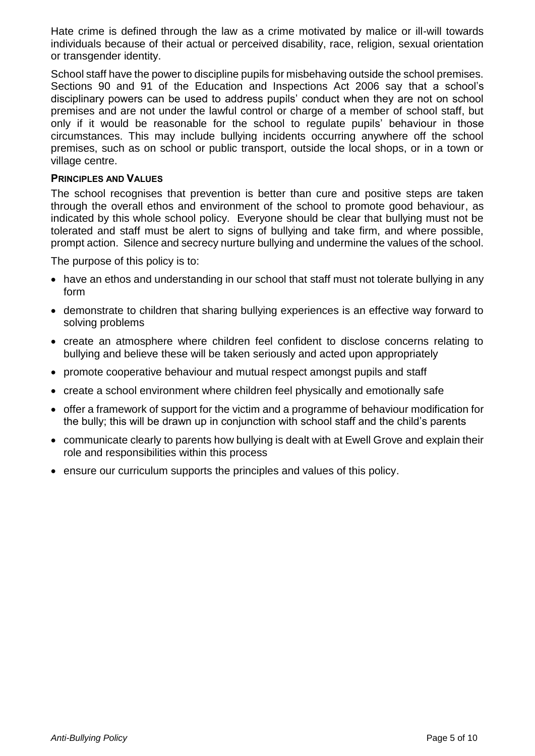Hate crime is defined through the law as a crime motivated by malice or ill-will towards individuals because of their actual or perceived disability, race, religion, sexual orientation or transgender identity.

School staff have the power to discipline pupils for misbehaving outside the school premises. Sections 90 and 91 of the Education and Inspections Act 2006 say that a school's disciplinary powers can be used to address pupils' conduct when they are not on school premises and are not under the lawful control or charge of a member of school staff, but only if it would be reasonable for the school to regulate pupils' behaviour in those circumstances. This may include bullying incidents occurring anywhere off the school premises, such as on school or public transport, outside the local shops, or in a town or village centre.

#### <span id="page-4-0"></span>**PRINCIPLES AND VALUES**

The school recognises that prevention is better than cure and positive steps are taken through the overall ethos and environment of the school to promote good behaviour, as indicated by this whole school policy. Everyone should be clear that bullying must not be tolerated and staff must be alert to signs of bullying and take firm, and where possible, prompt action. Silence and secrecy nurture bullying and undermine the values of the school.

The purpose of this policy is to:

- have an ethos and understanding in our school that staff must not tolerate bullying in any form
- demonstrate to children that sharing bullying experiences is an effective way forward to solving problems
- create an atmosphere where children feel confident to disclose concerns relating to bullying and believe these will be taken seriously and acted upon appropriately
- promote cooperative behaviour and mutual respect amongst pupils and staff
- create a school environment where children feel physically and emotionally safe
- offer a framework of support for the victim and a programme of behaviour modification for the bully; this will be drawn up in conjunction with school staff and the child's parents
- communicate clearly to parents how bullying is dealt with at Ewell Grove and explain their role and responsibilities within this process
- ensure our curriculum supports the principles and values of this policy.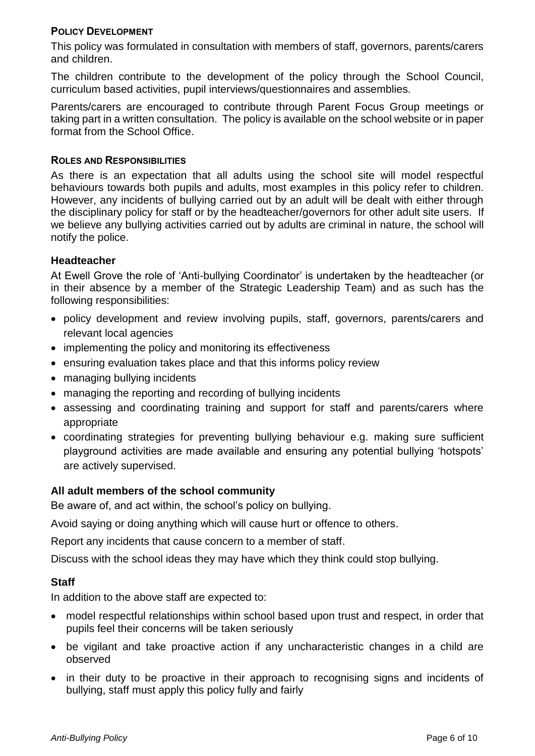#### <span id="page-5-0"></span>**POLICY DEVELOPMENT**

This policy was formulated in consultation with members of staff, governors, parents/carers and children.

The children contribute to the development of the policy through the School Council, curriculum based activities, pupil interviews/questionnaires and assemblies.

Parents/carers are encouraged to contribute through Parent Focus Group meetings or taking part in a written consultation. The policy is available on the school website or in paper format from the School Office.

#### <span id="page-5-1"></span>**ROLES AND RESPONSIBILITIES**

As there is an expectation that all adults using the school site will model respectful behaviours towards both pupils and adults, most examples in this policy refer to children. However, any incidents of bullying carried out by an adult will be dealt with either through the disciplinary policy for staff or by the headteacher/governors for other adult site users. If we believe any bullying activities carried out by adults are criminal in nature, the school will notify the police.

#### **Headteacher**

At Ewell Grove the role of 'Anti-bullying Coordinator' is undertaken by the headteacher (or in their absence by a member of the Strategic Leadership Team) and as such has the following responsibilities:

- policy development and review involving pupils, staff, governors, parents/carers and relevant local agencies
- implementing the policy and monitoring its effectiveness
- ensuring evaluation takes place and that this informs policy review
- managing bullying incidents
- managing the reporting and recording of bullying incidents
- assessing and coordinating training and support for staff and parents/carers where appropriate
- coordinating strategies for preventing bullying behaviour e.g. making sure sufficient playground activities are made available and ensuring any potential bullying 'hotspots' are actively supervised.

# **All adult members of the school community**

Be aware of, and act within, the school's policy on bullying.

Avoid saying or doing anything which will cause hurt or offence to others.

Report any incidents that cause concern to a member of staff.

Discuss with the school ideas they may have which they think could stop bullying.

# **Staff**

In addition to the above staff are expected to:

- model respectful relationships within school based upon trust and respect, in order that pupils feel their concerns will be taken seriously
- be vigilant and take proactive action if any uncharacteristic changes in a child are observed
- in their duty to be proactive in their approach to recognising signs and incidents of bullying, staff must apply this policy fully and fairly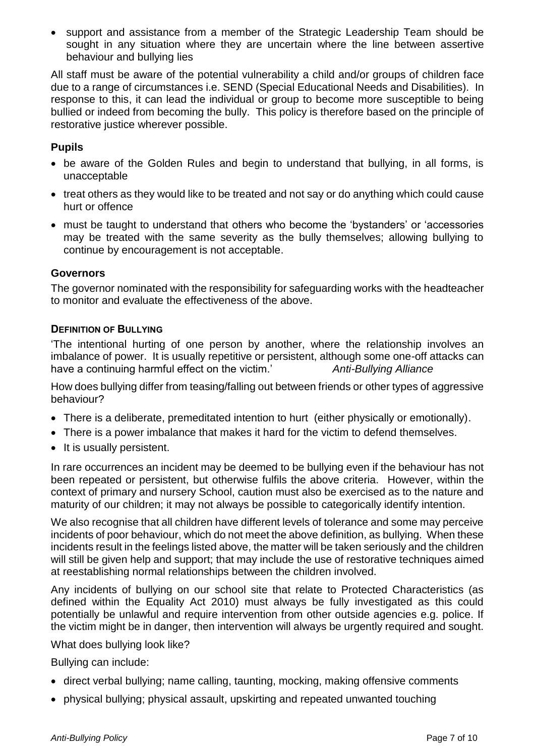support and assistance from a member of the Strategic Leadership Team should be sought in any situation where they are uncertain where the line between assertive behaviour and bullying lies

All staff must be aware of the potential vulnerability a child and/or groups of children face due to a range of circumstances i.e. SEND (Special Educational Needs and Disabilities). In response to this, it can lead the individual or group to become more susceptible to being bullied or indeed from becoming the bully. This policy is therefore based on the principle of restorative justice wherever possible.

# **Pupils**

- be aware of the Golden Rules and begin to understand that bullying, in all forms, is unacceptable
- treat others as they would like to be treated and not say or do anything which could cause hurt or offence
- must be taught to understand that others who become the 'bystanders' or 'accessories may be treated with the same severity as the bully themselves; allowing bullying to continue by encouragement is not acceptable.

# **Governors**

The governor nominated with the responsibility for safeguarding works with the headteacher to monitor and evaluate the effectiveness of the above.

#### <span id="page-6-0"></span>**DEFINITION OF BULLYING**

'The intentional hurting of one person by another, where the relationship involves an imbalance of power. It is usually repetitive or persistent, although some one-off attacks can have a continuing harmful effect on the victim.' *Anti-Bullying Alliance* 

How does bullying differ from teasing/falling out between friends or other types of aggressive behaviour?

- There is a deliberate, premeditated intention to hurt (either physically or emotionally).
- There is a power imbalance that makes it hard for the victim to defend themselves.
- It is usually persistent.

In rare occurrences an incident may be deemed to be bullying even if the behaviour has not been repeated or persistent, but otherwise fulfils the above criteria. However, within the context of primary and nursery School, caution must also be exercised as to the nature and maturity of our children; it may not always be possible to categorically identify intention.

We also recognise that all children have different levels of tolerance and some may perceive incidents of poor behaviour, which do not meet the above definition, as bullying. When these incidents result in the feelings listed above, the matter will be taken seriously and the children will still be given help and support; that may include the use of restorative techniques aimed at reestablishing normal relationships between the children involved.

Any incidents of bullying on our school site that relate to Protected Characteristics (as defined within the Equality Act 2010) must always be fully investigated as this could potentially be unlawful and require intervention from other outside agencies e.g. police. If the victim might be in danger, then intervention will always be urgently required and sought.

What does bullying look like?

Bullying can include:

- direct verbal bullying; name calling, taunting, mocking, making offensive comments
- physical bullying; physical assault, upskirting and repeated unwanted touching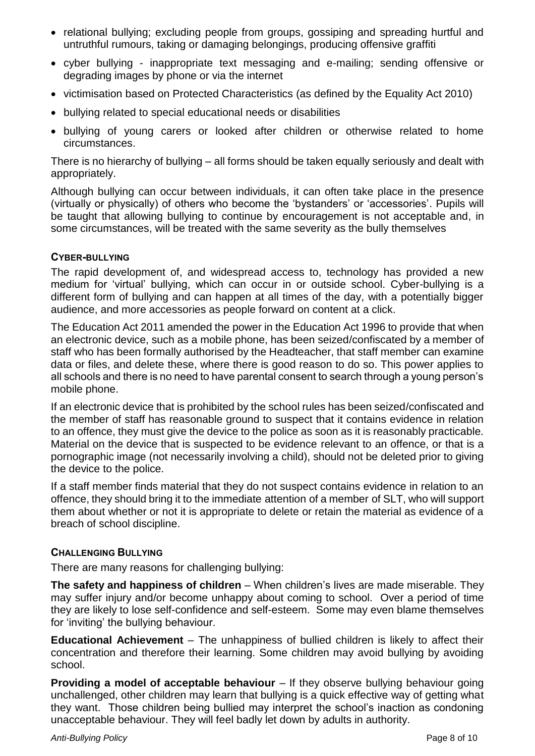- relational bullying; excluding people from groups, gossiping and spreading hurtful and untruthful rumours, taking or damaging belongings, producing offensive graffiti
- cyber bullying inappropriate text messaging and e-mailing; sending offensive or degrading images by phone or via the internet
- victimisation based on Protected Characteristics (as defined by the Equality Act 2010)
- bullying related to special educational needs or disabilities
- bullying of young carers or looked after children or otherwise related to home circumstances.

There is no hierarchy of bullying – all forms should be taken equally seriously and dealt with appropriately.

Although bullying can occur between individuals, it can often take place in the presence (virtually or physically) of others who become the 'bystanders' or 'accessories'. Pupils will be taught that allowing bullying to continue by encouragement is not acceptable and, in some circumstances, will be treated with the same severity as the bully themselves

#### <span id="page-7-0"></span>**CYBER-BULLYING**

The rapid development of, and widespread access to, technology has provided a new medium for 'virtual' bullying, which can occur in or outside school. Cyber-bullying is a different form of bullying and can happen at all times of the day, with a potentially bigger audience, and more accessories as people forward on content at a click.

The Education Act 2011 amended the power in the Education Act 1996 to provide that when an electronic device, such as a mobile phone, has been seized/confiscated by a member of staff who has been formally authorised by the Headteacher, that staff member can examine data or files, and delete these, where there is good reason to do so. This power applies to all schools and there is no need to have parental consent to search through a young person's mobile phone.

If an electronic device that is prohibited by the school rules has been seized/confiscated and the member of staff has reasonable ground to suspect that it contains evidence in relation to an offence, they must give the device to the police as soon as it is reasonably practicable. Material on the device that is suspected to be evidence relevant to an offence, or that is a pornographic image (not necessarily involving a child), should not be deleted prior to giving the device to the police.

If a staff member finds material that they do not suspect contains evidence in relation to an offence, they should bring it to the immediate attention of a member of SLT, who will support them about whether or not it is appropriate to delete or retain the material as evidence of a breach of school discipline.

# <span id="page-7-1"></span>**CHALLENGING BULLYING**

There are many reasons for challenging bullying:

**The safety and happiness of children** – When children's lives are made miserable. They may suffer injury and/or become unhappy about coming to school. Over a period of time they are likely to lose self-confidence and self-esteem. Some may even blame themselves for 'inviting' the bullying behaviour.

**Educational Achievement** – The unhappiness of bullied children is likely to affect their concentration and therefore their learning. Some children may avoid bullying by avoiding school.

**Providing a model of acceptable behaviour** – If they observe bullying behaviour going unchallenged, other children may learn that bullying is a quick effective way of getting what they want. Those children being bullied may interpret the school's inaction as condoning unacceptable behaviour. They will feel badly let down by adults in authority.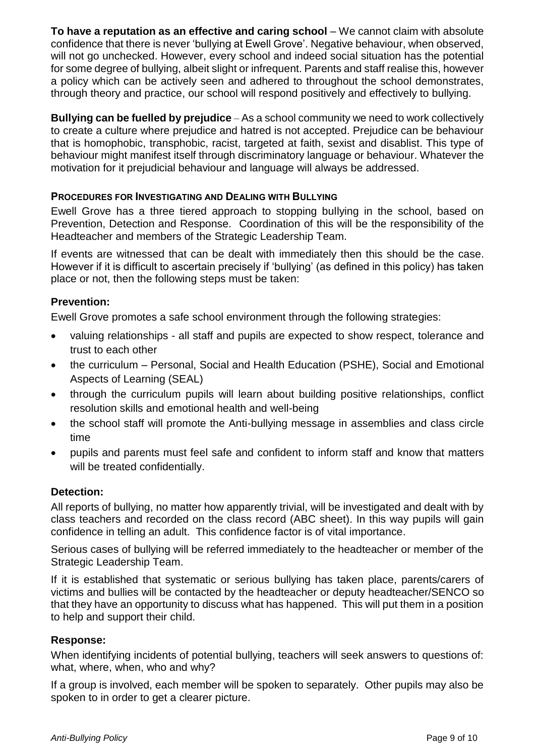**To have a reputation as an effective and caring school** – We cannot claim with absolute confidence that there is never 'bullying at Ewell Grove'. Negative behaviour, when observed, will not go unchecked. However, every school and indeed social situation has the potential for some degree of bullying, albeit slight or infrequent. Parents and staff realise this, however a policy which can be actively seen and adhered to throughout the school demonstrates, through theory and practice, our school will respond positively and effectively to bullying.

**Bullying can be fuelled by prejudice** – As a school community we need to work collectively to create a culture where prejudice and hatred is not accepted. Prejudice can be behaviour that is homophobic, transphobic, racist, targeted at faith, sexist and disablist. This type of behaviour might manifest itself through discriminatory language or behaviour. Whatever the motivation for it prejudicial behaviour and language will always be addressed.

# <span id="page-8-0"></span>**PROCEDURES FOR INVESTIGATING AND DEALING WITH BULLYING**

Ewell Grove has a three tiered approach to stopping bullying in the school, based on Prevention, Detection and Response. Coordination of this will be the responsibility of the Headteacher and members of the Strategic Leadership Team.

If events are witnessed that can be dealt with immediately then this should be the case. However if it is difficult to ascertain precisely if 'bullying' (as defined in this policy) has taken place or not, then the following steps must be taken:

# **Prevention:**

Ewell Grove promotes a safe school environment through the following strategies:

- valuing relationships all staff and pupils are expected to show respect, tolerance and trust to each other
- the curriculum Personal, Social and Health Education (PSHE), Social and Emotional Aspects of Learning (SEAL)
- through the curriculum pupils will learn about building positive relationships, conflict resolution skills and emotional health and well-being
- the school staff will promote the Anti-bullying message in assemblies and class circle time
- pupils and parents must feel safe and confident to inform staff and know that matters will be treated confidentially.

# **Detection:**

All reports of bullying, no matter how apparently trivial, will be investigated and dealt with by class teachers and recorded on the class record (ABC sheet). In this way pupils will gain confidence in telling an adult. This confidence factor is of vital importance.

Serious cases of bullying will be referred immediately to the headteacher or member of the Strategic Leadership Team.

If it is established that systematic or serious bullying has taken place, parents/carers of victims and bullies will be contacted by the headteacher or deputy headteacher/SENCO so that they have an opportunity to discuss what has happened. This will put them in a position to help and support their child.

# **Response:**

When identifying incidents of potential bullying, teachers will seek answers to questions of: what, where, when, who and why?

If a group is involved, each member will be spoken to separately. Other pupils may also be spoken to in order to get a clearer picture.